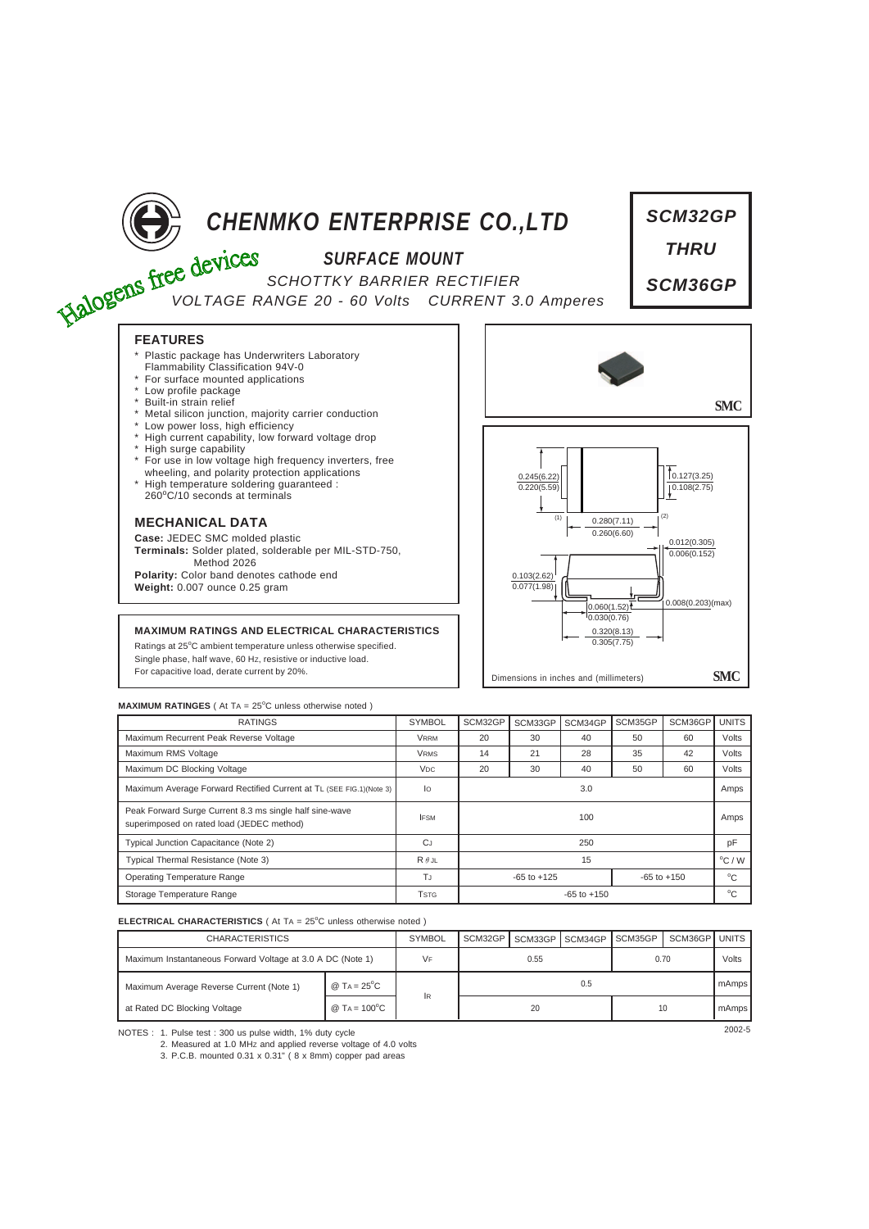

# *SURFACE MOUNT*

**CHENMKO ENTERPRISE CO.,LTD**<br>
SURFACE MOUNT<br>
SCHOTTKY BARRIER RECTIFICALLY *SCHOTTKY BARRIER RECTIFIER VOLTAGE RANGE 20 - 60 Volts CURRENT 3.0 Amperes*

# *SCM32GP THRU SCM36GP*

# **FEATURES**

- Plastic package has Underwriters Laboratory
- Flammability Classification 94V-0 \* For surface mounted applications
- \* Low profile package
- Built-in strain relief
- Metal silicon junction, majority carrier conduction
- Low power loss, high efficiency
- High current capability, low forward voltage drop
- \* High surge capability
- \* For use in low voltage high frequency inverters, free wheeling, and polarity protection applications
- \* High temperature soldering guaranteed : 260<sup>o</sup> C/10 seconds at terminals

# **MECHANICAL DATA**

**Case:** JEDEC SMC molded plastic **Terminals:** Solder plated, solderable per MIL-STD-750, Method 2026 **Polarity:** Color band denotes cathode end **Weight:** 0.007 ounce 0.25 gram

## **MAXIMUM RATINGS AND ELECTRICAL CHARACTERISTICS**

Ratings at 25°C ambient temperature unless otherwise specified. Single phase, half wave, 60 HZ, resistive or inductive load. For capacitive load, derate current by 20%.



### **MAXIMUM RATINGES** ( At TA = 25°C unless otherwise noted )

| <b>RATINGS</b>                                                                                       | <b>SYMBOL</b>           | SCM32GP                            | SCM33GP | SCM34GP | SCM35GP | SCM36GP     | <b>UNITS</b>    |
|------------------------------------------------------------------------------------------------------|-------------------------|------------------------------------|---------|---------|---------|-------------|-----------------|
| Maximum Recurrent Peak Reverse Voltage                                                               | <b>VRRM</b>             | 20                                 | 30      | 40      | 50      | 60          | Volts           |
| Maximum RMS Voltage                                                                                  | <b>VRMS</b>             | 14                                 | 21      | 28      | 35      | 42          | Volts           |
| Maximum DC Blocking Voltage                                                                          | <b>V<sub>DC</sub></b>   | 20                                 | 30      | 40      | 50      | 60          | Volts           |
| Maximum Average Forward Rectified Current at TL (SEE FIG.1)(Note 3)                                  | lo                      | 3.0                                |         |         |         |             | Amps            |
| Peak Forward Surge Current 8.3 ms single half sine-wave<br>superimposed on rated load (JEDEC method) | <b>IFSM</b>             | 100                                |         |         |         |             | Amps            |
| Typical Junction Capacitance (Note 2)                                                                | <b>CJ</b>               | 250                                |         |         |         |             | pF              |
| Typical Thermal Resistance (Note 3)                                                                  | $R \theta$ JL           | 15                                 |         |         |         |             | $\rm ^{o}C$ / W |
| <b>Operating Temperature Range</b>                                                                   | TJ                      | $-65$ to $+125$<br>$-65$ to $+150$ |         |         |         | $^{\circ}C$ |                 |
| Storage Temperature Range                                                                            | <b>T</b> <sub>STG</sub> | $-65$ to $+150$                    |         |         |         |             | °C              |

#### **ELECTRICAL CHARACTERISTICS** ( At TA = 25°C unless otherwise noted )

| <b>CHARACTERISTICS</b>                                     |                                        | <b>SYMBOL</b> | SCM32GP | SCM33GP | SCM34GP | SCM35GP | SCM36GP LUNITS |       |
|------------------------------------------------------------|----------------------------------------|---------------|---------|---------|---------|---------|----------------|-------|
| Maximum Instantaneous Forward Voltage at 3.0 A DC (Note 1) |                                        | VF            | 0.55    |         |         | 0.70    |                | Volts |
| Maximum Average Reverse Current (Note 1)                   | $@$ T <sub>A</sub> = 25 <sup>°</sup> C |               | 0.5     |         |         |         |                | mAmps |
| at Rated DC Blocking Voltage                               | $@$ T <sub>A</sub> = 100 $^{\circ}$ C  | <b>IR</b>     |         | 20      |         | 10      |                | mAmps |

NOTES : 2002-5 1. Pulse test : 300 us pulse width, 1% duty cycle

2. Measured at 1.0 MHZ and applied reverse voltage of 4.0 volts

3. P.C.B. mounted 0.31 x 0.31" ( 8 x 8mm) copper pad areas